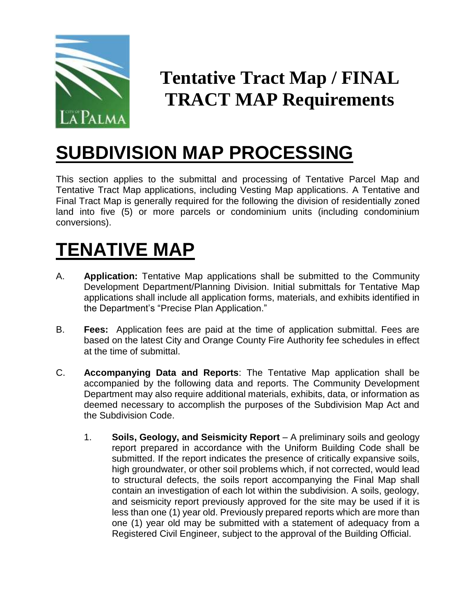

## **Tentative Tract Map / FINAL TRACT MAP Requirements**

## **SUBDIVISION MAP PROCESSING**

This section applies to the submittal and processing of Tentative Parcel Map and Tentative Tract Map applications, including Vesting Map applications. A Tentative and Final Tract Map is generally required for the following the division of residentially zoned land into five (5) or more parcels or condominium units (including condominium conversions).

## **TENATIVE MAP**

- A. **Application:** Tentative Map applications shall be submitted to the Community Development Department/Planning Division. Initial submittals for Tentative Map applications shall include all application forms, materials, and exhibits identified in the Department's "Precise Plan Application."
- B. **Fees:** Application fees are paid at the time of application submittal. Fees are based on the latest City and Orange County Fire Authority fee schedules in effect at the time of submittal.
- C. **Accompanying Data and Reports**: The Tentative Map application shall be accompanied by the following data and reports. The Community Development Department may also require additional materials, exhibits, data, or information as deemed necessary to accomplish the purposes of the Subdivision Map Act and the Subdivision Code.
	- 1. **Soils, Geology, and Seismicity Report**  A preliminary soils and geology report prepared in accordance with the Uniform Building Code shall be submitted. If the report indicates the presence of critically expansive soils, high groundwater, or other soil problems which, if not corrected, would lead to structural defects, the soils report accompanying the Final Map shall contain an investigation of each lot within the subdivision. A soils, geology, and seismicity report previously approved for the site may be used if it is less than one (1) year old. Previously prepared reports which are more than one (1) year old may be submitted with a statement of adequacy from a Registered Civil Engineer, subject to the approval of the Building Official.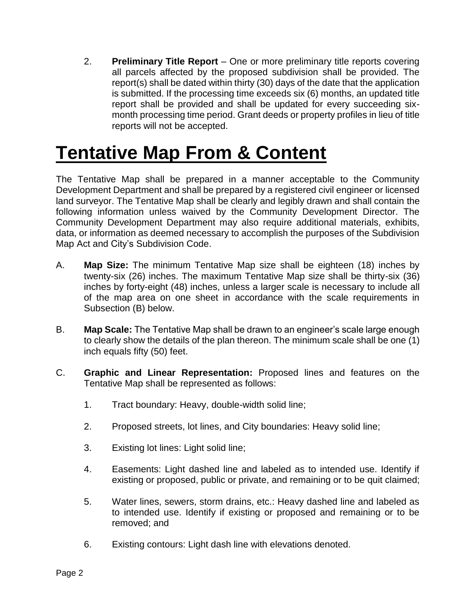2. **Preliminary Title Report** – One or more preliminary title reports covering all parcels affected by the proposed subdivision shall be provided. The report(s) shall be dated within thirty (30) days of the date that the application is submitted. If the processing time exceeds six (6) months, an updated title report shall be provided and shall be updated for every succeeding sixmonth processing time period. Grant deeds or property profiles in lieu of title reports will not be accepted.

## **Tentative Map From & Content**

The Tentative Map shall be prepared in a manner acceptable to the Community Development Department and shall be prepared by a registered civil engineer or licensed land surveyor. The Tentative Map shall be clearly and legibly drawn and shall contain the following information unless waived by the Community Development Director. The Community Development Department may also require additional materials, exhibits, data, or information as deemed necessary to accomplish the purposes of the Subdivision Map Act and City's Subdivision Code.

- A. **Map Size:** The minimum Tentative Map size shall be eighteen (18) inches by twenty-six (26) inches. The maximum Tentative Map size shall be thirty-six (36) inches by forty-eight (48) inches, unless a larger scale is necessary to include all of the map area on one sheet in accordance with the scale requirements in Subsection (B) below.
- B. **Map Scale:** The Tentative Map shall be drawn to an engineer's scale large enough to clearly show the details of the plan thereon. The minimum scale shall be one (1) inch equals fifty (50) feet.
- C. **Graphic and Linear Representation:** Proposed lines and features on the Tentative Map shall be represented as follows:
	- 1. Tract boundary: Heavy, double-width solid line;
	- 2. Proposed streets, lot lines, and City boundaries: Heavy solid line;
	- 3. Existing lot lines: Light solid line;
	- 4. Easements: Light dashed line and labeled as to intended use. Identify if existing or proposed, public or private, and remaining or to be quit claimed;
	- 5. Water lines, sewers, storm drains, etc.: Heavy dashed line and labeled as to intended use. Identify if existing or proposed and remaining or to be removed; and
	- 6. Existing contours: Light dash line with elevations denoted.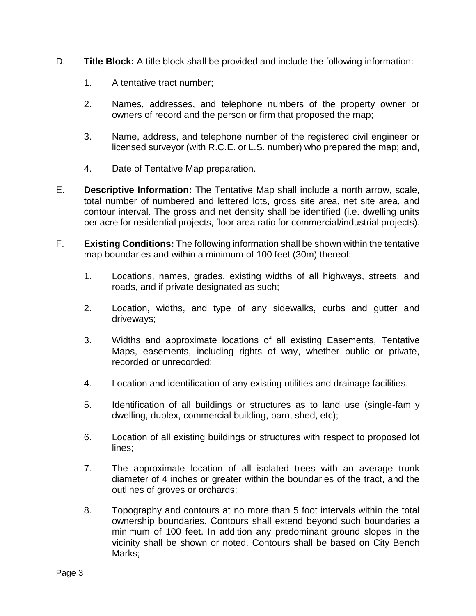- D. **Title Block:** A title block shall be provided and include the following information:
	- 1. A tentative tract number;
	- 2. Names, addresses, and telephone numbers of the property owner or owners of record and the person or firm that proposed the map;
	- 3. Name, address, and telephone number of the registered civil engineer or licensed surveyor (with R.C.E. or L.S. number) who prepared the map; and,
	- 4. Date of Tentative Map preparation.
- E. **Descriptive Information:** The Tentative Map shall include a north arrow, scale, total number of numbered and lettered lots, gross site area, net site area, and contour interval. The gross and net density shall be identified (i.e. dwelling units per acre for residential projects, floor area ratio for commercial/industrial projects).
- F. **Existing Conditions:** The following information shall be shown within the tentative map boundaries and within a minimum of 100 feet (30m) thereof:
	- 1. Locations, names, grades, existing widths of all highways, streets, and roads, and if private designated as such;
	- 2. Location, widths, and type of any sidewalks, curbs and gutter and driveways;
	- 3. Widths and approximate locations of all existing Easements, Tentative Maps, easements, including rights of way, whether public or private, recorded or unrecorded;
	- 4. Location and identification of any existing utilities and drainage facilities.
	- 5. Identification of all buildings or structures as to land use (single-family dwelling, duplex, commercial building, barn, shed, etc);
	- 6. Location of all existing buildings or structures with respect to proposed lot lines;
	- 7. The approximate location of all isolated trees with an average trunk diameter of 4 inches or greater within the boundaries of the tract, and the outlines of groves or orchards;
	- 8. Topography and contours at no more than 5 foot intervals within the total ownership boundaries. Contours shall extend beyond such boundaries a minimum of 100 feet. In addition any predominant ground slopes in the vicinity shall be shown or noted. Contours shall be based on City Bench Marks: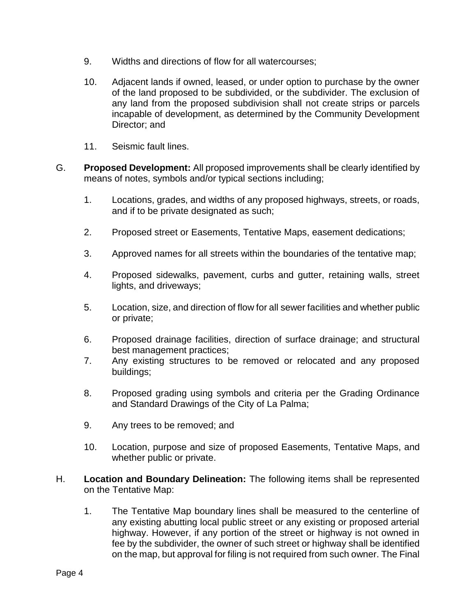- 9. Widths and directions of flow for all watercourses;
- 10. Adjacent lands if owned, leased, or under option to purchase by the owner of the land proposed to be subdivided, or the subdivider. The exclusion of any land from the proposed subdivision shall not create strips or parcels incapable of development, as determined by the Community Development Director; and
- 11. Seismic fault lines.
- G. **Proposed Development:** All proposed improvements shall be clearly identified by means of notes, symbols and/or typical sections including;
	- 1. Locations, grades, and widths of any proposed highways, streets, or roads, and if to be private designated as such;
	- 2. Proposed street or Easements, Tentative Maps, easement dedications;
	- 3. Approved names for all streets within the boundaries of the tentative map;
	- 4. Proposed sidewalks, pavement, curbs and gutter, retaining walls, street lights, and driveways;
	- 5. Location, size, and direction of flow for all sewer facilities and whether public or private;
	- 6. Proposed drainage facilities, direction of surface drainage; and structural best management practices;
	- 7. Any existing structures to be removed or relocated and any proposed buildings;
	- 8. Proposed grading using symbols and criteria per the Grading Ordinance and Standard Drawings of the City of La Palma;
	- 9. Any trees to be removed; and
	- 10. Location, purpose and size of proposed Easements, Tentative Maps, and whether public or private.
- H. **Location and Boundary Delineation:** The following items shall be represented on the Tentative Map:
	- 1. The Tentative Map boundary lines shall be measured to the centerline of any existing abutting local public street or any existing or proposed arterial highway. However, if any portion of the street or highway is not owned in fee by the subdivider, the owner of such street or highway shall be identified on the map, but approval for filing is not required from such owner. The Final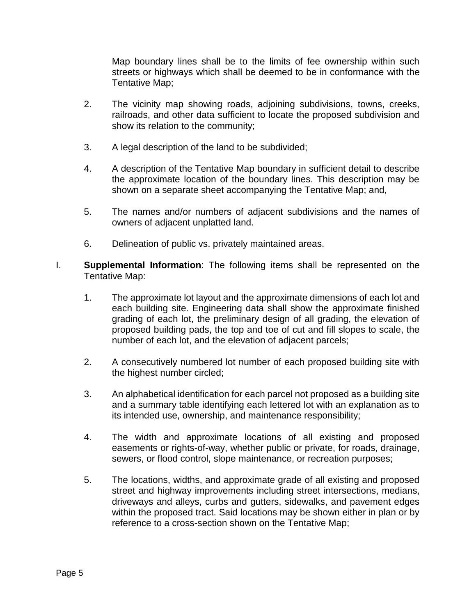Map boundary lines shall be to the limits of fee ownership within such streets or highways which shall be deemed to be in conformance with the Tentative Map;

- 2. The vicinity map showing roads, adjoining subdivisions, towns, creeks, railroads, and other data sufficient to locate the proposed subdivision and show its relation to the community;
- 3. A legal description of the land to be subdivided;
- 4. A description of the Tentative Map boundary in sufficient detail to describe the approximate location of the boundary lines. This description may be shown on a separate sheet accompanying the Tentative Map; and,
- 5. The names and/or numbers of adjacent subdivisions and the names of owners of adjacent unplatted land.
- 6. Delineation of public vs. privately maintained areas.
- I. **Supplemental Information**: The following items shall be represented on the Tentative Map:
	- 1. The approximate lot layout and the approximate dimensions of each lot and each building site. Engineering data shall show the approximate finished grading of each lot, the preliminary design of all grading, the elevation of proposed building pads, the top and toe of cut and fill slopes to scale, the number of each lot, and the elevation of adjacent parcels;
	- 2. A consecutively numbered lot number of each proposed building site with the highest number circled;
	- 3. An alphabetical identification for each parcel not proposed as a building site and a summary table identifying each lettered lot with an explanation as to its intended use, ownership, and maintenance responsibility;
	- 4. The width and approximate locations of all existing and proposed easements or rights-of-way, whether public or private, for roads, drainage, sewers, or flood control, slope maintenance, or recreation purposes;
	- 5. The locations, widths, and approximate grade of all existing and proposed street and highway improvements including street intersections, medians, driveways and alleys, curbs and gutters, sidewalks, and pavement edges within the proposed tract. Said locations may be shown either in plan or by reference to a cross-section shown on the Tentative Map;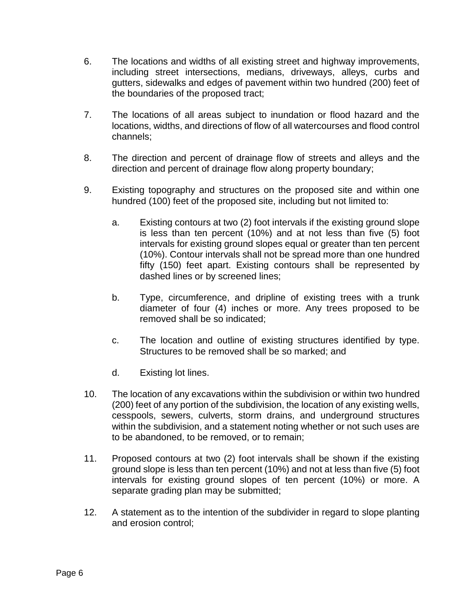- 6. The locations and widths of all existing street and highway improvements, including street intersections, medians, driveways, alleys, curbs and gutters, sidewalks and edges of pavement within two hundred (200) feet of the boundaries of the proposed tract;
- 7. The locations of all areas subject to inundation or flood hazard and the locations, widths, and directions of flow of all watercourses and flood control channels;
- 8. The direction and percent of drainage flow of streets and alleys and the direction and percent of drainage flow along property boundary;
- 9. Existing topography and structures on the proposed site and within one hundred (100) feet of the proposed site, including but not limited to:
	- a. Existing contours at two (2) foot intervals if the existing ground slope is less than ten percent (10%) and at not less than five (5) foot intervals for existing ground slopes equal or greater than ten percent (10%). Contour intervals shall not be spread more than one hundred fifty (150) feet apart. Existing contours shall be represented by dashed lines or by screened lines;
	- b. Type, circumference, and dripline of existing trees with a trunk diameter of four (4) inches or more. Any trees proposed to be removed shall be so indicated;
	- c. The location and outline of existing structures identified by type. Structures to be removed shall be so marked; and
	- d. Existing lot lines.
- 10. The location of any excavations within the subdivision or within two hundred (200) feet of any portion of the subdivision, the location of any existing wells, cesspools, sewers, culverts, storm drains, and underground structures within the subdivision, and a statement noting whether or not such uses are to be abandoned, to be removed, or to remain;
- 11. Proposed contours at two (2) foot intervals shall be shown if the existing ground slope is less than ten percent (10%) and not at less than five (5) foot intervals for existing ground slopes of ten percent (10%) or more. A separate grading plan may be submitted;
- 12. A statement as to the intention of the subdivider in regard to slope planting and erosion control;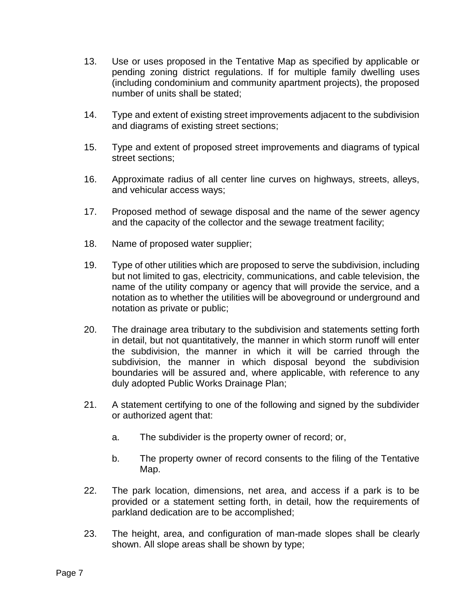- 13. Use or uses proposed in the Tentative Map as specified by applicable or pending zoning district regulations. If for multiple family dwelling uses (including condominium and community apartment projects), the proposed number of units shall be stated;
- 14. Type and extent of existing street improvements adjacent to the subdivision and diagrams of existing street sections;
- 15. Type and extent of proposed street improvements and diagrams of typical street sections;
- 16. Approximate radius of all center line curves on highways, streets, alleys, and vehicular access ways;
- 17. Proposed method of sewage disposal and the name of the sewer agency and the capacity of the collector and the sewage treatment facility;
- 18. Name of proposed water supplier;
- 19. Type of other utilities which are proposed to serve the subdivision, including but not limited to gas, electricity, communications, and cable television, the name of the utility company or agency that will provide the service, and a notation as to whether the utilities will be aboveground or underground and notation as private or public;
- 20. The drainage area tributary to the subdivision and statements setting forth in detail, but not quantitatively, the manner in which storm runoff will enter the subdivision, the manner in which it will be carried through the subdivision, the manner in which disposal beyond the subdivision boundaries will be assured and, where applicable, with reference to any duly adopted Public Works Drainage Plan;
- 21. A statement certifying to one of the following and signed by the subdivider or authorized agent that:
	- a. The subdivider is the property owner of record; or,
	- b. The property owner of record consents to the filing of the Tentative Map.
- 22. The park location, dimensions, net area, and access if a park is to be provided or a statement setting forth, in detail, how the requirements of parkland dedication are to be accomplished;
- 23. The height, area, and configuration of man-made slopes shall be clearly shown. All slope areas shall be shown by type;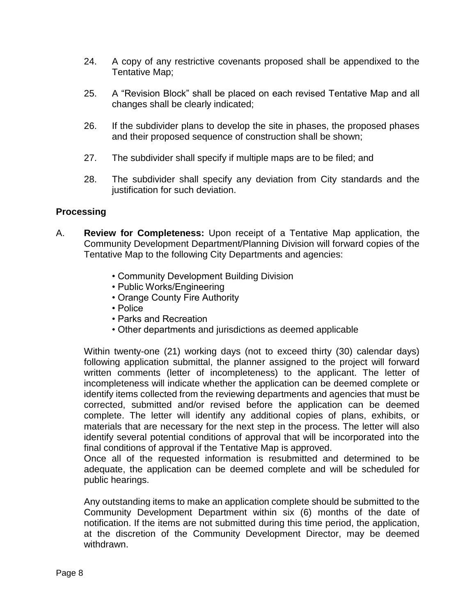- 24. A copy of any restrictive covenants proposed shall be appendixed to the Tentative Map;
- 25. A "Revision Block" shall be placed on each revised Tentative Map and all changes shall be clearly indicated;
- 26. If the subdivider plans to develop the site in phases, the proposed phases and their proposed sequence of construction shall be shown;
- 27. The subdivider shall specify if multiple maps are to be filed; and
- 28. The subdivider shall specify any deviation from City standards and the justification for such deviation.

#### **Processing**

- A. **Review for Completeness:** Upon receipt of a Tentative Map application, the Community Development Department/Planning Division will forward copies of the Tentative Map to the following City Departments and agencies:
	- Community Development Building Division
	- Public Works/Engineering
	- Orange County Fire Authority
	- Police
	- Parks and Recreation
	- Other departments and jurisdictions as deemed applicable

Within twenty-one (21) working days (not to exceed thirty (30) calendar days) following application submittal, the planner assigned to the project will forward written comments (letter of incompleteness) to the applicant. The letter of incompleteness will indicate whether the application can be deemed complete or identify items collected from the reviewing departments and agencies that must be corrected, submitted and/or revised before the application can be deemed complete. The letter will identify any additional copies of plans, exhibits, or materials that are necessary for the next step in the process. The letter will also identify several potential conditions of approval that will be incorporated into the final conditions of approval if the Tentative Map is approved.

Once all of the requested information is resubmitted and determined to be adequate, the application can be deemed complete and will be scheduled for public hearings.

Any outstanding items to make an application complete should be submitted to the Community Development Department within six (6) months of the date of notification. If the items are not submitted during this time period, the application, at the discretion of the Community Development Director, may be deemed withdrawn.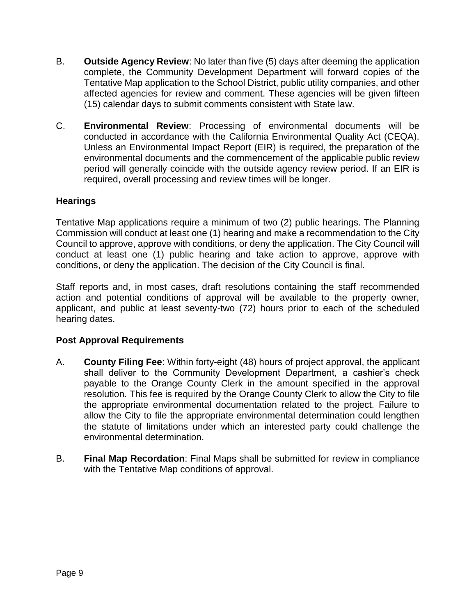- B. **Outside Agency Review**: No later than five (5) days after deeming the application complete, the Community Development Department will forward copies of the Tentative Map application to the School District, public utility companies, and other affected agencies for review and comment. These agencies will be given fifteen (15) calendar days to submit comments consistent with State law.
- C. **Environmental Review**: Processing of environmental documents will be conducted in accordance with the California Environmental Quality Act (CEQA). Unless an Environmental Impact Report (EIR) is required, the preparation of the environmental documents and the commencement of the applicable public review period will generally coincide with the outside agency review period. If an EIR is required, overall processing and review times will be longer.

#### **Hearings**

Tentative Map applications require a minimum of two (2) public hearings. The Planning Commission will conduct at least one (1) hearing and make a recommendation to the City Council to approve, approve with conditions, or deny the application. The City Council will conduct at least one (1) public hearing and take action to approve, approve with conditions, or deny the application. The decision of the City Council is final.

Staff reports and, in most cases, draft resolutions containing the staff recommended action and potential conditions of approval will be available to the property owner, applicant, and public at least seventy-two (72) hours prior to each of the scheduled hearing dates.

#### **Post Approval Requirements**

- A. **County Filing Fee**: Within forty-eight (48) hours of project approval, the applicant shall deliver to the Community Development Department, a cashier's check payable to the Orange County Clerk in the amount specified in the approval resolution. This fee is required by the Orange County Clerk to allow the City to file the appropriate environmental documentation related to the project. Failure to allow the City to file the appropriate environmental determination could lengthen the statute of limitations under which an interested party could challenge the environmental determination.
- B. **Final Map Recordation**: Final Maps shall be submitted for review in compliance with the Tentative Map conditions of approval.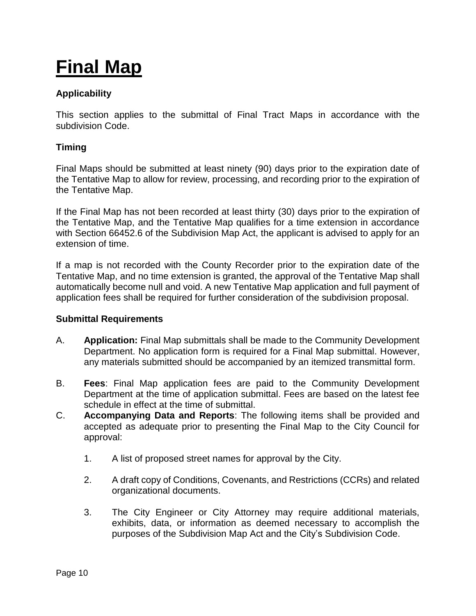# **Final Map**

#### **Applicability**

This section applies to the submittal of Final Tract Maps in accordance with the subdivision Code.

#### **Timing**

Final Maps should be submitted at least ninety (90) days prior to the expiration date of the Tentative Map to allow for review, processing, and recording prior to the expiration of the Tentative Map.

If the Final Map has not been recorded at least thirty (30) days prior to the expiration of the Tentative Map, and the Tentative Map qualifies for a time extension in accordance with Section 66452.6 of the Subdivision Map Act, the applicant is advised to apply for an extension of time.

If a map is not recorded with the County Recorder prior to the expiration date of the Tentative Map, and no time extension is granted, the approval of the Tentative Map shall automatically become null and void. A new Tentative Map application and full payment of application fees shall be required for further consideration of the subdivision proposal.

#### **Submittal Requirements**

- A. **Application:** Final Map submittals shall be made to the Community Development Department. No application form is required for a Final Map submittal. However, any materials submitted should be accompanied by an itemized transmittal form.
- B. **Fees**: Final Map application fees are paid to the Community Development Department at the time of application submittal. Fees are based on the latest fee schedule in effect at the time of submittal.
- C. **Accompanying Data and Reports**: The following items shall be provided and accepted as adequate prior to presenting the Final Map to the City Council for approval:
	- 1. A list of proposed street names for approval by the City.
	- 2. A draft copy of Conditions, Covenants, and Restrictions (CCRs) and related organizational documents.
	- 3. The City Engineer or City Attorney may require additional materials, exhibits, data, or information as deemed necessary to accomplish the purposes of the Subdivision Map Act and the City's Subdivision Code.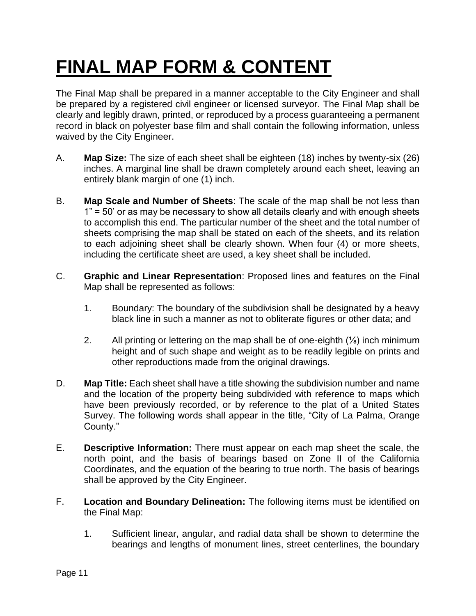# **FINAL MAP FORM & CONTENT**

The Final Map shall be prepared in a manner acceptable to the City Engineer and shall be prepared by a registered civil engineer or licensed surveyor. The Final Map shall be clearly and legibly drawn, printed, or reproduced by a process guaranteeing a permanent record in black on polyester base film and shall contain the following information, unless waived by the City Engineer.

- A. **Map Size:** The size of each sheet shall be eighteen (18) inches by twenty-six (26) inches. A marginal line shall be drawn completely around each sheet, leaving an entirely blank margin of one (1) inch.
- B. **Map Scale and Number of Sheets**: The scale of the map shall be not less than 1" = 50' or as may be necessary to show all details clearly and with enough sheets to accomplish this end. The particular number of the sheet and the total number of sheets comprising the map shall be stated on each of the sheets, and its relation to each adjoining sheet shall be clearly shown. When four (4) or more sheets, including the certificate sheet are used, a key sheet shall be included.
- C. **Graphic and Linear Representation**: Proposed lines and features on the Final Map shall be represented as follows:
	- 1. Boundary: The boundary of the subdivision shall be designated by a heavy black line in such a manner as not to obliterate figures or other data; and
	- 2. All printing or lettering on the map shall be of one-eighth (⅛) inch minimum height and of such shape and weight as to be readily legible on prints and other reproductions made from the original drawings.
- D. **Map Title:** Each sheet shall have a title showing the subdivision number and name and the location of the property being subdivided with reference to maps which have been previously recorded, or by reference to the plat of a United States Survey. The following words shall appear in the title, "City of La Palma, Orange County."
- E. **Descriptive Information:** There must appear on each map sheet the scale, the north point, and the basis of bearings based on Zone II of the California Coordinates, and the equation of the bearing to true north. The basis of bearings shall be approved by the City Engineer.
- F. **Location and Boundary Delineation:** The following items must be identified on the Final Map:
	- 1. Sufficient linear, angular, and radial data shall be shown to determine the bearings and lengths of monument lines, street centerlines, the boundary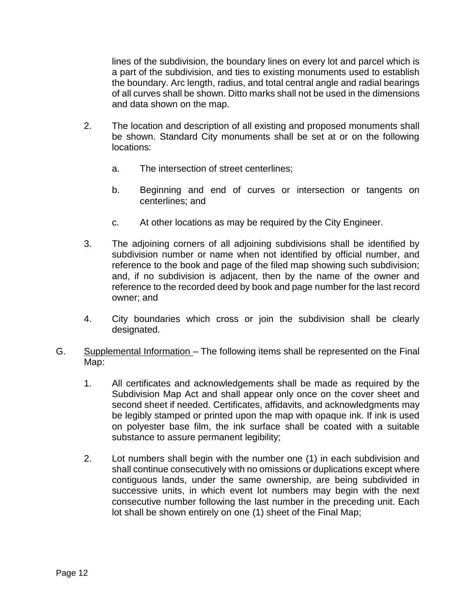lines of the subdivision, the boundary lines on every lot and parcel which is a part of the subdivision, and ties to existing monuments used to establish the boundary. Arc length, radius, and total central angle and radial bearings of all curves shall be shown. Ditto marks shall not be used in the dimensions and data shown on the map.

- 2. The location and description of all existing and proposed monuments shall be shown. Standard City monuments shall be set at or on the following locations:
	- a. The intersection of street centerlines;
	- b. Beginning and end of curves or intersection or tangents on centerlines; and
	- c. At other locations as may be required by the City Engineer.
- 3. The adjoining corners of all adjoining subdivisions shall be identified by subdivision number or name when not identified by official number, and reference to the book and page of the filed map showing such subdivision; and, if no subdivision is adjacent, then by the name of the owner and reference to the recorded deed by book and page number for the last record owner; and
- 4. City boundaries which cross or join the subdivision shall be clearly designated.
- G. Supplemental Information The following items shall be represented on the Final Map:
	- 1. All certificates and acknowledgements shall be made as required by the Subdivision Map Act and shall appear only once on the cover sheet and second sheet if needed. Certificates, affidavits, and acknowledgments may be legibly stamped or printed upon the map with opaque ink. If ink is used on polyester base film, the ink surface shall be coated with a suitable substance to assure permanent legibility;
	- 2. Lot numbers shall begin with the number one (1) in each subdivision and shall continue consecutively with no omissions or duplications except where contiguous lands, under the same ownership, are being subdivided in successive units, in which event lot numbers may begin with the next consecutive number following the last number in the preceding unit. Each lot shall be shown entirely on one (1) sheet of the Final Map;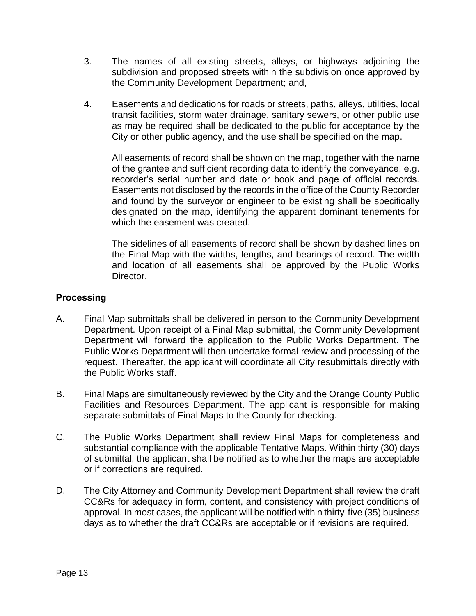- 3. The names of all existing streets, alleys, or highways adjoining the subdivision and proposed streets within the subdivision once approved by the Community Development Department; and,
- 4. Easements and dedications for roads or streets, paths, alleys, utilities, local transit facilities, storm water drainage, sanitary sewers, or other public use as may be required shall be dedicated to the public for acceptance by the City or other public agency, and the use shall be specified on the map.

All easements of record shall be shown on the map, together with the name of the grantee and sufficient recording data to identify the conveyance, e.g. recorder's serial number and date or book and page of official records. Easements not disclosed by the records in the office of the County Recorder and found by the surveyor or engineer to be existing shall be specifically designated on the map, identifying the apparent dominant tenements for which the easement was created.

The sidelines of all easements of record shall be shown by dashed lines on the Final Map with the widths, lengths, and bearings of record. The width and location of all easements shall be approved by the Public Works Director.

#### **Processing**

- A. Final Map submittals shall be delivered in person to the Community Development Department. Upon receipt of a Final Map submittal, the Community Development Department will forward the application to the Public Works Department. The Public Works Department will then undertake formal review and processing of the request. Thereafter, the applicant will coordinate all City resubmittals directly with the Public Works staff.
- B. Final Maps are simultaneously reviewed by the City and the Orange County Public Facilities and Resources Department. The applicant is responsible for making separate submittals of Final Maps to the County for checking.
- C. The Public Works Department shall review Final Maps for completeness and substantial compliance with the applicable Tentative Maps. Within thirty (30) days of submittal, the applicant shall be notified as to whether the maps are acceptable or if corrections are required.
- D. The City Attorney and Community Development Department shall review the draft CC&Rs for adequacy in form, content, and consistency with project conditions of approval. In most cases, the applicant will be notified within thirty-five (35) business days as to whether the draft CC&Rs are acceptable or if revisions are required.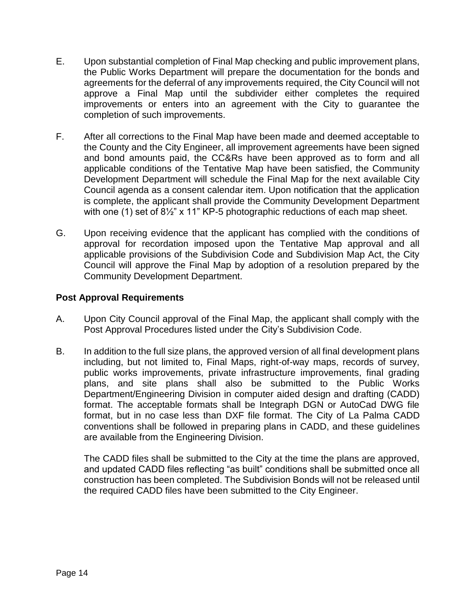- E. Upon substantial completion of Final Map checking and public improvement plans, the Public Works Department will prepare the documentation for the bonds and agreements for the deferral of any improvements required, the City Council will not approve a Final Map until the subdivider either completes the required improvements or enters into an agreement with the City to guarantee the completion of such improvements.
- F. After all corrections to the Final Map have been made and deemed acceptable to the County and the City Engineer, all improvement agreements have been signed and bond amounts paid, the CC&Rs have been approved as to form and all applicable conditions of the Tentative Map have been satisfied, the Community Development Department will schedule the Final Map for the next available City Council agenda as a consent calendar item. Upon notification that the application is complete, the applicant shall provide the Community Development Department with one (1) set of 8½" x 11" KP-5 photographic reductions of each map sheet.
- G. Upon receiving evidence that the applicant has complied with the conditions of approval for recordation imposed upon the Tentative Map approval and all applicable provisions of the Subdivision Code and Subdivision Map Act, the City Council will approve the Final Map by adoption of a resolution prepared by the Community Development Department.

#### **Post Approval Requirements**

- A. Upon City Council approval of the Final Map, the applicant shall comply with the Post Approval Procedures listed under the City's Subdivision Code.
- B. In addition to the full size plans, the approved version of all final development plans including, but not limited to, Final Maps, right-of-way maps, records of survey, public works improvements, private infrastructure improvements, final grading plans, and site plans shall also be submitted to the Public Works Department/Engineering Division in computer aided design and drafting (CADD) format. The acceptable formats shall be Integraph DGN or AutoCad DWG file format, but in no case less than DXF file format. The City of La Palma CADD conventions shall be followed in preparing plans in CADD, and these guidelines are available from the Engineering Division.

The CADD files shall be submitted to the City at the time the plans are approved, and updated CADD files reflecting "as built" conditions shall be submitted once all construction has been completed. The Subdivision Bonds will not be released until the required CADD files have been submitted to the City Engineer.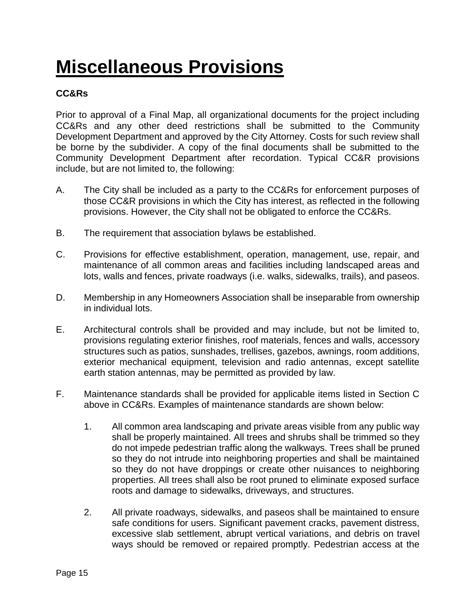## **Miscellaneous Provisions**

#### **CC&Rs**

Prior to approval of a Final Map, all organizational documents for the project including CC&Rs and any other deed restrictions shall be submitted to the Community Development Department and approved by the City Attorney. Costs for such review shall be borne by the subdivider. A copy of the final documents shall be submitted to the Community Development Department after recordation. Typical CC&R provisions include, but are not limited to, the following:

- A. The City shall be included as a party to the CC&Rs for enforcement purposes of those CC&R provisions in which the City has interest, as reflected in the following provisions. However, the City shall not be obligated to enforce the CC&Rs.
- B. The requirement that association bylaws be established.
- C. Provisions for effective establishment, operation, management, use, repair, and maintenance of all common areas and facilities including landscaped areas and lots, walls and fences, private roadways (i.e. walks, sidewalks, trails), and paseos.
- D. Membership in any Homeowners Association shall be inseparable from ownership in individual lots.
- E. Architectural controls shall be provided and may include, but not be limited to, provisions regulating exterior finishes, roof materials, fences and walls, accessory structures such as patios, sunshades, trellises, gazebos, awnings, room additions, exterior mechanical equipment, television and radio antennas, except satellite earth station antennas, may be permitted as provided by law.
- F. Maintenance standards shall be provided for applicable items listed in Section C above in CC&Rs. Examples of maintenance standards are shown below:
	- 1. All common area landscaping and private areas visible from any public way shall be properly maintained. All trees and shrubs shall be trimmed so they do not impede pedestrian traffic along the walkways. Trees shall be pruned so they do not intrude into neighboring properties and shall be maintained so they do not have droppings or create other nuisances to neighboring properties. All trees shall also be root pruned to eliminate exposed surface roots and damage to sidewalks, driveways, and structures.
	- 2. All private roadways, sidewalks, and paseos shall be maintained to ensure safe conditions for users. Significant pavement cracks, pavement distress, excessive slab settlement, abrupt vertical variations, and debris on travel ways should be removed or repaired promptly. Pedestrian access at the